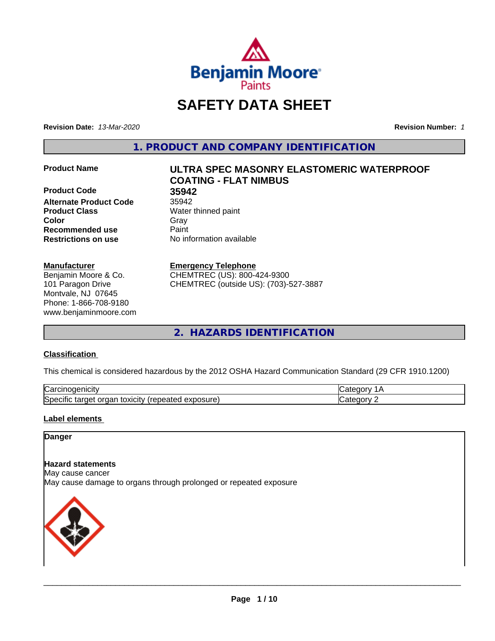

# **SAFETY DATA SHEET**

**Revision Date:** *13-Mar-2020* **Revision Number:** *1*

**1. PRODUCT AND COMPANY IDENTIFICATION**

**Product Code 35942 Alternate Product Code** 35942 **Product Class** Water thinned paint **Color** Gray Gray **Recommended use Caint Restrictions on use** No information available

#### **Manufacturer**

Benjamin Moore & Co. 101 Paragon Drive Montvale, NJ 07645 Phone: 1-866-708-9180 www.benjaminmoore.com

# **Product Name ULTRA SPEC MASONRY ELASTOMERIC WATERPROOF COATING - FLAT NIMBUS**

#### **Emergency Telephone**

CHEMTREC (US): 800-424-9300 CHEMTREC (outside US): (703)-527-3887

**2. HAZARDS IDENTIFICATION**

#### **Classification**

This chemical is considered hazardous by the 2012 OSHA Hazard Communication Standard (29 CFR 1910.1200)

| ⌒<br>.<br>"Jarc™<br>пісн<br>…u⊔∪∪ ≔                                                 | ----     |
|-------------------------------------------------------------------------------------|----------|
| exposure<br>. .<br>toxicity<br>50e<br>ordar<br>arger :<br>энк<br>.<br>calcu<br>50.U | ----<br> |

#### **Label elements**

#### **Danger**

#### **Hazard statements**

May cause cancer

May cause damage to organs through prolonged or repeated exposure

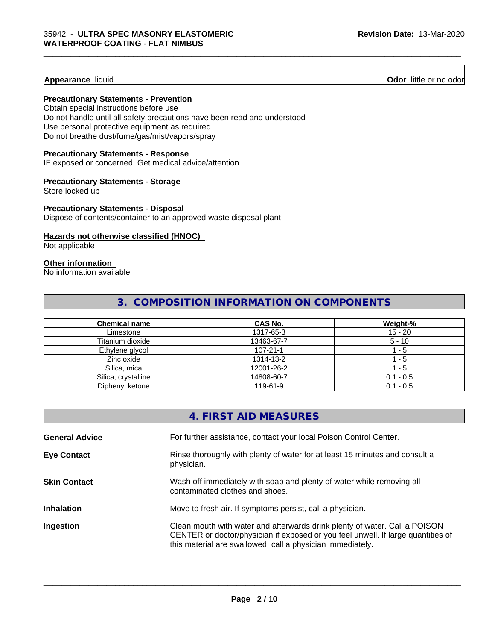**Appearance** liquid **Odor 11** Odor little or no odor

#### **Precautionary Statements - Prevention**

Obtain special instructions before use Do not handle until all safety precautions have been read and understood Use personal protective equipment as required Do not breathe dust/fume/gas/mist/vapors/spray

#### **Precautionary Statements - Response**

IF exposed or concerned: Get medical advice/attention

#### **Precautionary Statements - Storage**

Store locked up

#### **Precautionary Statements - Disposal**

Dispose of contents/container to an approved waste disposal plant

#### **Hazards not otherwise classified (HNOC)**

Not applicable

# **Other information**

No information available

# **3. COMPOSITION INFORMATION ON COMPONENTS**

\_\_\_\_\_\_\_\_\_\_\_\_\_\_\_\_\_\_\_\_\_\_\_\_\_\_\_\_\_\_\_\_\_\_\_\_\_\_\_\_\_\_\_\_\_\_\_\_\_\_\_\_\_\_\_\_\_\_\_\_\_\_\_\_\_\_\_\_\_\_\_\_\_\_\_\_\_\_\_\_\_\_\_\_\_\_\_\_\_\_\_\_\_

| <b>Chemical name</b> | <b>CAS No.</b> | Weight-%    |
|----------------------|----------------|-------------|
| Limestone            | 1317-65-3      | $15 - 20$   |
| Titanium dioxide     | 13463-67-7     | $5 - 10$    |
| Ethylene glycol      | $107 - 21 - 1$ | - 5         |
| Zinc oxide           | 1314-13-2      | - 5         |
| Silica, mica         | 12001-26-2     | - 5         |
| Silica, crystalline  | 14808-60-7     | $0.1 - 0.5$ |
| Diphenyl ketone      | 119-61-9       | $0.1 - 0.5$ |

|                       | 4. FIRST AID MEASURES                                                                                                                                                                                                        |
|-----------------------|------------------------------------------------------------------------------------------------------------------------------------------------------------------------------------------------------------------------------|
| <b>General Advice</b> | For further assistance, contact your local Poison Control Center.                                                                                                                                                            |
| <b>Eye Contact</b>    | Rinse thoroughly with plenty of water for at least 15 minutes and consult a<br>physician.                                                                                                                                    |
| <b>Skin Contact</b>   | Wash off immediately with soap and plenty of water while removing all<br>contaminated clothes and shoes.                                                                                                                     |
| <b>Inhalation</b>     | Move to fresh air. If symptoms persist, call a physician.                                                                                                                                                                    |
| Ingestion             | Clean mouth with water and afterwards drink plenty of water. Call a POISON<br>CENTER or doctor/physician if exposed or you feel unwell. If large quantities of<br>this material are swallowed, call a physician immediately. |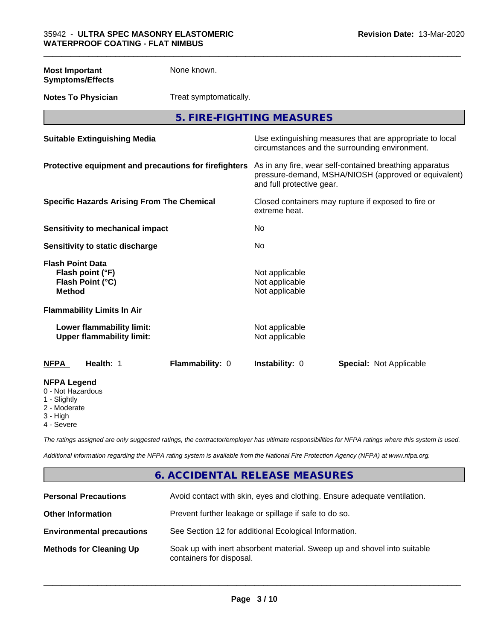**Most Important Symptoms/Effects** None known.

**Notes To Physician** Treat symptomatically.

**5. FIRE-FIGHTING MEASURES**

\_\_\_\_\_\_\_\_\_\_\_\_\_\_\_\_\_\_\_\_\_\_\_\_\_\_\_\_\_\_\_\_\_\_\_\_\_\_\_\_\_\_\_\_\_\_\_\_\_\_\_\_\_\_\_\_\_\_\_\_\_\_\_\_\_\_\_\_\_\_\_\_\_\_\_\_\_\_\_\_\_\_\_\_\_\_\_\_\_\_\_\_\_

| <b>Suitable Extinguishing Media</b>                                              | Use extinguishing measures that are appropriate to local<br>circumstances and the surrounding environment.                                   |
|----------------------------------------------------------------------------------|----------------------------------------------------------------------------------------------------------------------------------------------|
| Protective equipment and precautions for firefighters                            | As in any fire, wear self-contained breathing apparatus<br>pressure-demand, MSHA/NIOSH (approved or equivalent)<br>and full protective gear. |
| <b>Specific Hazards Arising From The Chemical</b>                                | Closed containers may rupture if exposed to fire or<br>extreme heat.                                                                         |
| Sensitivity to mechanical impact                                                 | No                                                                                                                                           |
| Sensitivity to static discharge                                                  | No                                                                                                                                           |
| <b>Flash Point Data</b><br>Flash point (°F)<br>Flash Point (°C)<br><b>Method</b> | Not applicable<br>Not applicable<br>Not applicable                                                                                           |
| <b>Flammability Limits In Air</b>                                                |                                                                                                                                              |
| Lower flammability limit:<br><b>Upper flammability limit:</b>                    | Not applicable<br>Not applicable                                                                                                             |
| <b>NFPA</b><br>Health: 1<br>Flammability: 0                                      | <b>Instability: 0</b><br><b>Special: Not Applicable</b>                                                                                      |
| <b>NFPA Legend</b><br>0 - Not Hazardous<br>1 - Slightly                          |                                                                                                                                              |

2 - Moderate

3 - High

4 - Severe

*The ratings assigned are only suggested ratings, the contractor/employer has ultimate responsibilities for NFPA ratings where this system is used.*

*Additional information regarding the NFPA rating system is available from the National Fire Protection Agency (NFPA) at www.nfpa.org.*

# **6. ACCIDENTAL RELEASE MEASURES**

| <b>Personal Precautions</b>      | Avoid contact with skin, eyes and clothing. Ensure adequate ventilation.                             |
|----------------------------------|------------------------------------------------------------------------------------------------------|
| <b>Other Information</b>         | Prevent further leakage or spillage if safe to do so.                                                |
| <b>Environmental precautions</b> | See Section 12 for additional Ecological Information.                                                |
| <b>Methods for Cleaning Up</b>   | Soak up with inert absorbent material. Sweep up and shovel into suitable<br>containers for disposal. |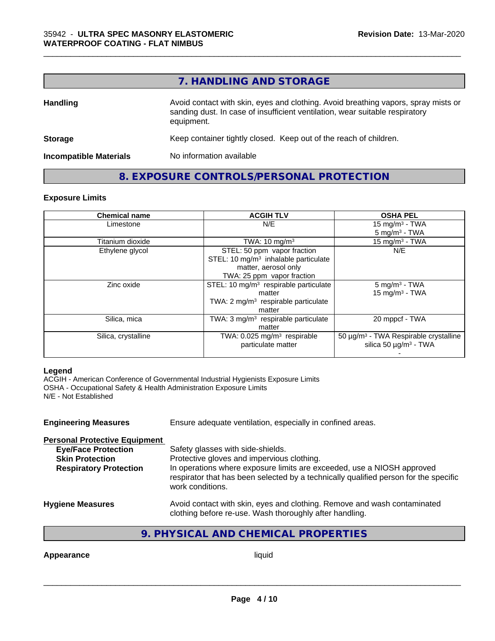# **7. HANDLING AND STORAGE**

\_\_\_\_\_\_\_\_\_\_\_\_\_\_\_\_\_\_\_\_\_\_\_\_\_\_\_\_\_\_\_\_\_\_\_\_\_\_\_\_\_\_\_\_\_\_\_\_\_\_\_\_\_\_\_\_\_\_\_\_\_\_\_\_\_\_\_\_\_\_\_\_\_\_\_\_\_\_\_\_\_\_\_\_\_\_\_\_\_\_\_\_\_

| <b>Handling</b>               | Avoid contact with skin, eyes and clothing. Avoid breathing vapors, spray mists or<br>sanding dust. In case of insufficient ventilation, wear suitable respiratory<br>equipment. |
|-------------------------------|----------------------------------------------------------------------------------------------------------------------------------------------------------------------------------|
| <b>Storage</b>                | Keep container tightly closed. Keep out of the reach of children.                                                                                                                |
| <b>Incompatible Materials</b> | No information available                                                                                                                                                         |

# **8. EXPOSURE CONTROLS/PERSONAL PROTECTION**

#### **Exposure Limits**

| <b>Chemical name</b> | <b>ACGIH TLV</b>                                  | <b>OSHA PEL</b>                            |  |
|----------------------|---------------------------------------------------|--------------------------------------------|--|
| Limestone            | N/E                                               | 15 mg/m <sup>3</sup> - TWA                 |  |
|                      |                                                   | $5 \text{ mg/m}^3$ - TWA                   |  |
| Titanium dioxide     | TWA: $10 \text{ mg/m}^3$                          | 15 mg/m $3$ - TWA                          |  |
| Ethylene glycol      | STEL: 50 ppm vapor fraction                       | N/E                                        |  |
|                      | STEL: 10 $mg/m3$ inhalable particulate            |                                            |  |
|                      | matter, aerosol only                              |                                            |  |
|                      | TWA: 25 ppm vapor fraction                        |                                            |  |
| Zinc oxide           | STEL: 10 mg/m <sup>3</sup> respirable particulate | $5$ mg/m <sup>3</sup> - TWA                |  |
|                      | matter                                            | $15$ mg/m <sup>3</sup> - TWA               |  |
|                      | TWA: $2 \text{ mg/m}^3$ respirable particulate    |                                            |  |
|                      | matter                                            |                                            |  |
| Silica, mica         | TWA: $3 \text{ mg/m}^3$ respirable particulate    | 20 mppcf - TWA                             |  |
|                      | matter                                            |                                            |  |
| Silica, crystalline  | TWA: $0.025$ mg/m <sup>3</sup> respirable         | $50 \mu g/m3$ - TWA Respirable crystalline |  |
|                      | particulate matter                                | silica 50 $\mu$ g/m <sup>3</sup> - TWA     |  |
|                      |                                                   |                                            |  |

#### **Legend**

ACGIH - American Conference of Governmental Industrial Hygienists Exposure Limits OSHA - Occupational Safety & Health Administration Exposure Limits N/E - Not Established

| <b>Engineering Measures</b>          | Ensure adequate ventilation, especially in confined areas.                                                                                                                         |
|--------------------------------------|------------------------------------------------------------------------------------------------------------------------------------------------------------------------------------|
| <b>Personal Protective Equipment</b> |                                                                                                                                                                                    |
| <b>Eye/Face Protection</b>           | Safety glasses with side-shields.                                                                                                                                                  |
| <b>Skin Protection</b>               | Protective gloves and impervious clothing.                                                                                                                                         |
| <b>Respiratory Protection</b>        | In operations where exposure limits are exceeded, use a NIOSH approved<br>respirator that has been selected by a technically qualified person for the specific<br>work conditions. |
| <b>Hygiene Measures</b>              | Avoid contact with skin, eyes and clothing. Remove and wash contaminated<br>clothing before re-use. Wash thoroughly after handling.                                                |

# **9. PHYSICAL AND CHEMICAL PROPERTIES**

**Appearance** liquid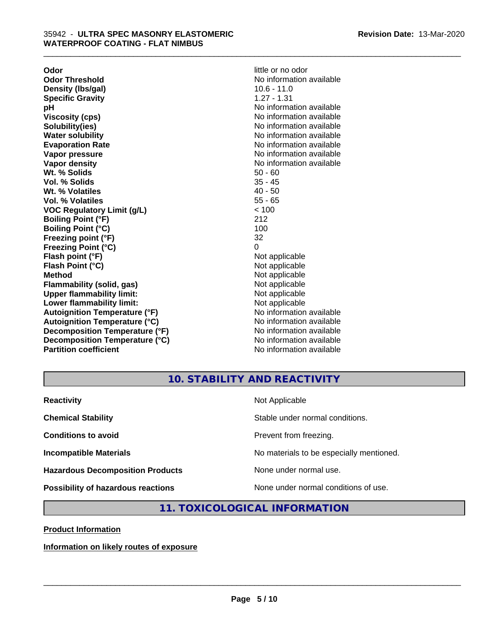**Odor Odor** little or no odor<br> **Odor Threshold Containery of the Containery of the Containery of the Containery of the Containery of the Contain Density (Ibs/gal)** 10.6 - 11.0<br> **Specific Gravity** 1.27 - 1.31 **Specific Gravity pH** No information available **Viscosity (cps)** No information available in the Viscosity (cps) **Solubility(ies)** No information available **Water solubility** No information available **Evaporation Rate No information available No information available Vapor pressure** No information available in the North American Monte available in the North American available **Vapor density No information available No** information available **Wt. % Solids** 50 - 60 **Vol. % Solids** 35 - 45<br> **Wt. % Volatiles** 35 - 45 **Wt. % Volatiles Vol. % Volatiles** 55 - 65 **VOC Regulatory Limit (g/L)** < 100 **Boiling Point (°F)** 212 **Boiling Point (°C)** 100 **Freezing point (°F)** 32 **Freezing Point (°C)** 0 **Flash point (°F)** Not applicable **Flash Point (°C)** Not applicable **Method**<br> **Flammability (solid, gas)**<br> **Example 2018** Not applicable **Flammability (solid, gas)**<br> **Upper flammability limit:**<br>
Upper flammability limit: **Upper flammability limit:**<br> **Lower flammability limit:**<br>
Not applicable<br>
Not applicable **Lower flammability limit:**<br> **Autoignition Temperature (°F)** Not applicable havailable **Autoignition Temperature (°F)**<br> **Autoignition Temperature (°C)** No information available **Autoignition Temperature (°C) Decomposition Temperature (°F)** No information available **Decomposition Temperature (°C)** No information available **Partition coefficient Contract Contract Contract Contract Contract Contract Contract Contract Contract Contract Contract Contract Contract Contract Contract Contract Contract Contract Contract Contract Contract Contract** 

No information available<br>10.6 - 11.0

\_\_\_\_\_\_\_\_\_\_\_\_\_\_\_\_\_\_\_\_\_\_\_\_\_\_\_\_\_\_\_\_\_\_\_\_\_\_\_\_\_\_\_\_\_\_\_\_\_\_\_\_\_\_\_\_\_\_\_\_\_\_\_\_\_\_\_\_\_\_\_\_\_\_\_\_\_\_\_\_\_\_\_\_\_\_\_\_\_\_\_\_\_

# **10. STABILITY AND REACTIVITY**

| <b>Reactivity</b>                         | Not Applicable                           |
|-------------------------------------------|------------------------------------------|
| <b>Chemical Stability</b>                 | Stable under normal conditions.          |
| <b>Conditions to avoid</b>                | Prevent from freezing.                   |
| <b>Incompatible Materials</b>             | No materials to be especially mentioned. |
| <b>Hazardous Decomposition Products</b>   | None under normal use.                   |
| <b>Possibility of hazardous reactions</b> | None under normal conditions of use.     |

## **11. TOXICOLOGICAL INFORMATION**

**Product Information**

**Information on likely routes of exposure**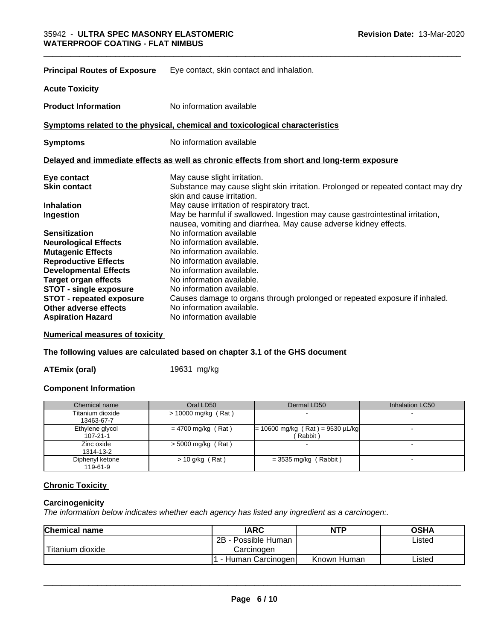| <b>Principal Routes of Exposure</b> | Eye contact, skin contact and inhalation.                                                                                                         |
|-------------------------------------|---------------------------------------------------------------------------------------------------------------------------------------------------|
| <b>Acute Toxicity</b>               |                                                                                                                                                   |
| <b>Product Information</b>          | No information available                                                                                                                          |
|                                     | Symptoms related to the physical, chemical and toxicological characteristics                                                                      |
| <b>Symptoms</b>                     | No information available                                                                                                                          |
|                                     | Delayed and immediate effects as well as chronic effects from short and long-term exposure                                                        |
| Eye contact                         | May cause slight irritation.                                                                                                                      |
| <b>Skin contact</b>                 | Substance may cause slight skin irritation. Prolonged or repeated contact may dry<br>skin and cause irritation.                                   |
| <b>Inhalation</b>                   | May cause irritation of respiratory tract.                                                                                                        |
| Ingestion                           | May be harmful if swallowed. Ingestion may cause gastrointestinal irritation,<br>nausea, vomiting and diarrhea. May cause adverse kidney effects. |
| <b>Sensitization</b>                | No information available                                                                                                                          |
| <b>Neurological Effects</b>         | No information available.                                                                                                                         |
| <b>Mutagenic Effects</b>            | No information available.                                                                                                                         |
| <b>Reproductive Effects</b>         | No information available.                                                                                                                         |
| <b>Developmental Effects</b>        | No information available.                                                                                                                         |
| <b>Target organ effects</b>         | No information available.                                                                                                                         |
| <b>STOT - single exposure</b>       | No information available.                                                                                                                         |
| <b>STOT - repeated exposure</b>     | Causes damage to organs through prolonged or repeated exposure if inhaled.                                                                        |
| Other adverse effects               | No information available.                                                                                                                         |
| <b>Aspiration Hazard</b>            | No information available                                                                                                                          |

**Numerical measures of toxicity**

# **The following values are calculated based on chapter 3.1 of the GHS document**

**ATEmix (oral)** 19631 mg/kg

#### **Component Information**

| Chemical name                     | Oral LD50            | Dermal LD50                                   | Inhalation LC50 |
|-----------------------------------|----------------------|-----------------------------------------------|-----------------|
| Titanium dioxide<br>13463-67-7    | > 10000 mg/kg (Rat)  |                                               |                 |
| Ethylene glycol<br>$107 - 21 - 1$ | $= 4700$ mg/kg (Rat) | $= 10600$ mg/kg (Rat) = 9530 µL/kg<br>Rabbit) |                 |
| Zinc oxide<br>1314-13-2           | $>$ 5000 mg/kg (Rat) |                                               |                 |
| Diphenyl ketone<br>119-61-9       | $> 10$ g/kg (Rat)    | $=$ 3535 mg/kg (Rabbit)                       |                 |

#### **Chronic Toxicity**

#### **Carcinogenicity**

*The information below indicateswhether each agency has listed any ingredient as a carcinogen:.*

| <b>Chemical name</b>          | <b>IARC</b>          | <b>NTP</b>  | OSHA   |
|-------------------------------|----------------------|-------------|--------|
|                               | 2B<br>Possible Human |             | Listed |
| <sup>'</sup> Titanium dioxide | Carcinogen           |             |        |
|                               | Human Carcinogen     | Known Human | Listed |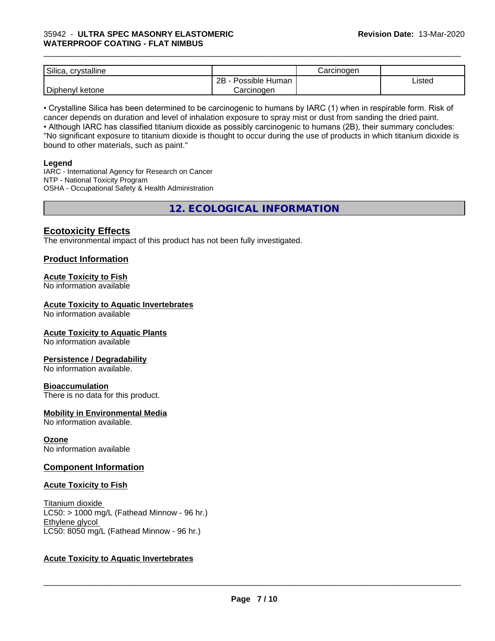#### 35942 - **ULTRA SPEC MASONRY ELASTOMERIC WATERPROOF COATING - FLAT NIMBUS**

| Silica,<br>.<br>crystalline |                      | Carcinogen |        |
|-----------------------------|----------------------|------------|--------|
|                             | 2Β<br>Possible Human |            | Listed |
| Diphenyl<br>ketone          | Carcinoger           |            |        |

\_\_\_\_\_\_\_\_\_\_\_\_\_\_\_\_\_\_\_\_\_\_\_\_\_\_\_\_\_\_\_\_\_\_\_\_\_\_\_\_\_\_\_\_\_\_\_\_\_\_\_\_\_\_\_\_\_\_\_\_\_\_\_\_\_\_\_\_\_\_\_\_\_\_\_\_\_\_\_\_\_\_\_\_\_\_\_\_\_\_\_\_\_

• Crystalline Silica has been determined to be carcinogenic to humans by IARC (1) when in respirable form. Risk of cancer depends on duration and level of inhalation exposure to spray mist or dust from sanding the dried paint.

• Although IARC has classified titanium dioxide as possibly carcinogenic to humans (2B), their summary concludes: "No significant exposure to titanium dioxide is thought to occur during the use of products in which titanium dioxide is bound to other materials, such as paint."

#### **Legend**

IARC - International Agency for Research on Cancer NTP - National Toxicity Program OSHA - Occupational Safety & Health Administration

**12. ECOLOGICAL INFORMATION**

## **Ecotoxicity Effects**

The environmental impact of this product has not been fully investigated.

### **Product Information**

#### **Acute Toxicity to Fish**

No information available

#### **Acute Toxicity to Aquatic Invertebrates**

No information available

#### **Acute Toxicity to Aquatic Plants**

No information available

#### **Persistence / Degradability**

No information available.

#### **Bioaccumulation**

There is no data for this product.

#### **Mobility in Environmental Media**

No information available.

**Ozone** No information available

#### **Component Information**

#### **Acute Toxicity to Fish**

Titanium dioxide  $\overline{\text{LC50:}}$  > 1000 mg/L (Fathead Minnow - 96 hr.) Ethylene glycol LC50: 8050 mg/L (Fathead Minnow - 96 hr.)

#### **Acute Toxicity to Aquatic Invertebrates**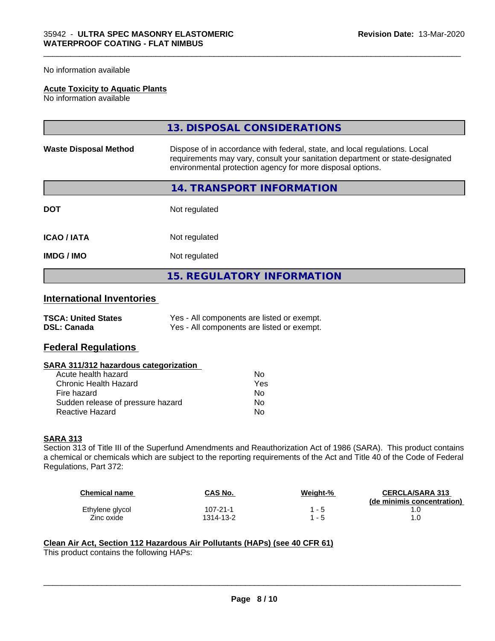#### No information available

#### **Acute Toxicity to Aquatic Plants**

No information available

|                              | 13. DISPOSAL CONSIDERATIONS                                                                                                                                                                                               |
|------------------------------|---------------------------------------------------------------------------------------------------------------------------------------------------------------------------------------------------------------------------|
| <b>Waste Disposal Method</b> | Dispose of in accordance with federal, state, and local regulations. Local<br>requirements may vary, consult your sanitation department or state-designated<br>environmental protection agency for more disposal options. |
|                              | 14. TRANSPORT INFORMATION                                                                                                                                                                                                 |
| <b>DOT</b>                   | Not regulated                                                                                                                                                                                                             |
| <b>ICAO/IATA</b>             | Not regulated                                                                                                                                                                                                             |
| <b>IMDG/IMO</b>              | Not regulated                                                                                                                                                                                                             |
|                              | 15. REGULATORY INFORMATION                                                                                                                                                                                                |

\_\_\_\_\_\_\_\_\_\_\_\_\_\_\_\_\_\_\_\_\_\_\_\_\_\_\_\_\_\_\_\_\_\_\_\_\_\_\_\_\_\_\_\_\_\_\_\_\_\_\_\_\_\_\_\_\_\_\_\_\_\_\_\_\_\_\_\_\_\_\_\_\_\_\_\_\_\_\_\_\_\_\_\_\_\_\_\_\_\_\_\_\_

# **International Inventories**

| <b>TSCA: United States</b> | Yes - All components are listed or exempt. |
|----------------------------|--------------------------------------------|
| <b>DSL: Canada</b>         | Yes - All components are listed or exempt. |

### **Federal Regulations**

#### **SARA 311/312 hazardous categorization**

| Acute health hazard               | N٥  |
|-----------------------------------|-----|
| Chronic Health Hazard             | Yes |
| Fire hazard                       | Nο  |
| Sudden release of pressure hazard | N٥  |
| <b>Reactive Hazard</b>            | N٥  |

#### **SARA 313**

Section 313 of Title III of the Superfund Amendments and Reauthorization Act of 1986 (SARA). This product contains a chemical or chemicals which are subject to the reporting requirements of the Act and Title 40 of the Code of Federal Regulations, Part 372:

| <b>Chemical name</b> | <b>CAS No.</b> | Weight-% | <b>CERCLA/SARA 313</b><br>(de minimis concentration) |
|----------------------|----------------|----------|------------------------------------------------------|
| Ethylene glycol      | $107 - 21 - 1$ | - 5      |                                                      |
| Zinc oxide           | 1314-13-2      | -5       |                                                      |

 $\overline{\phantom{a}}$  ,  $\overline{\phantom{a}}$  ,  $\overline{\phantom{a}}$  ,  $\overline{\phantom{a}}$  ,  $\overline{\phantom{a}}$  ,  $\overline{\phantom{a}}$  ,  $\overline{\phantom{a}}$  ,  $\overline{\phantom{a}}$  ,  $\overline{\phantom{a}}$  ,  $\overline{\phantom{a}}$  ,  $\overline{\phantom{a}}$  ,  $\overline{\phantom{a}}$  ,  $\overline{\phantom{a}}$  ,  $\overline{\phantom{a}}$  ,  $\overline{\phantom{a}}$  ,  $\overline{\phantom{a}}$ 

#### **Clean Air Act,Section 112 Hazardous Air Pollutants (HAPs) (see 40 CFR 61)**

This product contains the following HAPs: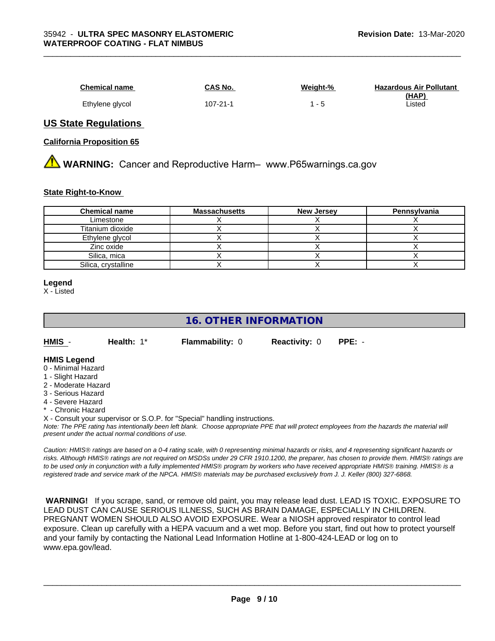| <b>Chemical name</b> | CAS No.  | Weight-% | <b>Hazardous Air Pollutant</b> |
|----------------------|----------|----------|--------------------------------|
|                      |          |          | (HAP)                          |
| Ethylene glycol      | 107-21-1 |          | Listed                         |

\_\_\_\_\_\_\_\_\_\_\_\_\_\_\_\_\_\_\_\_\_\_\_\_\_\_\_\_\_\_\_\_\_\_\_\_\_\_\_\_\_\_\_\_\_\_\_\_\_\_\_\_\_\_\_\_\_\_\_\_\_\_\_\_\_\_\_\_\_\_\_\_\_\_\_\_\_\_\_\_\_\_\_\_\_\_\_\_\_\_\_\_\_

#### **US State Regulations**

#### **California Proposition 65**

**AVIMARNING:** Cancer and Reproductive Harm– www.P65warnings.ca.gov

#### **State Right-to-Know**

| <b>Chemical name</b> | <b>Massachusetts</b> | <b>New Jersey</b> | Pennsylvania |
|----------------------|----------------------|-------------------|--------------|
| Limestone            |                      |                   |              |
| Titanium dioxide     |                      |                   |              |
| Ethylene glycol      |                      |                   |              |
| Zinc oxide           |                      |                   |              |
| Silica, mica         |                      |                   |              |
| Silica, crystalline  |                      |                   |              |

#### **Legend**

X - Listed

# **16. OTHER INFORMATION**

| HMI |  |
|-----|--|
|     |  |

**Health:** 1\* **Flammability:** 0 **Reactivity: 0 PPE:** -

#### **HMIS Legend**

- 0 Minimal Hazard
- 1 Slight Hazard
- 2 Moderate Hazard
- 3 Serious Hazard
- 4 Severe Hazard
- \* Chronic Hazard

X - Consult your supervisor or S.O.P. for "Special" handling instructions.

*Note: The PPE rating has intentionally been left blank. Choose appropriate PPE that will protect employees from the hazards the material will present under the actual normal conditions of use.*

*Caution: HMISÒ ratings are based on a 0-4 rating scale, with 0 representing minimal hazards or risks, and 4 representing significant hazards or risks. Although HMISÒ ratings are not required on MSDSs under 29 CFR 1910.1200, the preparer, has chosen to provide them. HMISÒ ratings are to be used only in conjunction with a fully implemented HMISÒ program by workers who have received appropriate HMISÒ training. HMISÒ is a registered trade and service mark of the NPCA. HMISÒ materials may be purchased exclusively from J. J. Keller (800) 327-6868.*

 **WARNING!** If you scrape, sand, or remove old paint, you may release lead dust. LEAD IS TOXIC. EXPOSURE TO LEAD DUST CAN CAUSE SERIOUS ILLNESS, SUCH AS BRAIN DAMAGE, ESPECIALLY IN CHILDREN. PREGNANT WOMEN SHOULD ALSO AVOID EXPOSURE.Wear a NIOSH approved respirator to control lead exposure. Clean up carefully with a HEPA vacuum and a wet mop. Before you start, find out how to protect yourself and your family by contacting the National Lead Information Hotline at 1-800-424-LEAD or log on to www.epa.gov/lead.